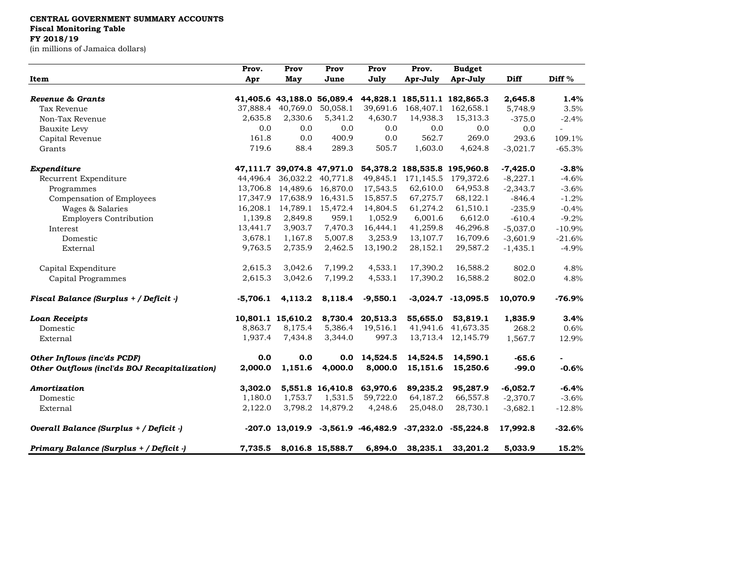## **CENTRAL GOVERNMENT SUMMARY ACCOUNTS**

**Fiscal Monitoring Table**

## **FY 2018/19**

(in millions of Jamaica dollars)

| Item                                          | Prov.<br>Apr | Prov<br>May       | Prov<br>June               | Prov<br>July           | Prov.<br>Apr-July | <b>Budget</b><br>Apr-July    | <b>Diff</b> | Diff %   |
|-----------------------------------------------|--------------|-------------------|----------------------------|------------------------|-------------------|------------------------------|-------------|----------|
|                                               |              |                   |                            |                        |                   |                              |             |          |
| Tax Revenue                                   | 37,888.4     | 40,769.0          | 50,058.1                   | 39,691.6               | 168,407.1         | 162,658.1                    | 5,748.9     | 3.5%     |
| Non-Tax Revenue                               | 2,635.8      | 2,330.6           | 5,341.2                    | 4,630.7                | 14,938.3          | 15,313.3                     | $-375.0$    | $-2.4%$  |
| Bauxite Levy                                  | 0.0          | 0.0               | 0.0                        | 0.0                    | 0.0               | 0.0                          | 0.0         |          |
| Capital Revenue                               | 161.8        | 0.0               | 400.9                      | 0.0                    | 562.7             | 269.0                        | 293.6       | 109.1%   |
| Grants                                        | 719.6        | 88.4              | 289.3                      | 505.7                  | 1,603.0           | 4,624.8                      | $-3,021.7$  | $-65.3%$ |
| Expenditure                                   |              |                   | 47,111.7 39,074.8 47,971.0 |                        |                   | 54,378.2 188,535.8 195,960.8 | $-7,425.0$  | $-3.8%$  |
| Recurrent Expenditure                         | 44.496.4     | 36,032.2          | 40,771.8                   | 49,845.1               | 171,145.5         | 179,372.6                    | $-8,227.1$  | $-4.6%$  |
| Programmes                                    | 13,706.8     |                   | 14,489.6 16,870.0          | 17,543.5               | 62,610.0          | 64,953.8                     | $-2,343.7$  | $-3.6%$  |
| Compensation of Employees                     | 17,347.9     | 17,638.9          | 16,431.5                   | 15,857.5               | 67,275.7          | 68,122.1                     | $-846.4$    | $-1.2%$  |
| Wages & Salaries                              | 16,208.1     |                   | 14,789.1 15,472.4          | 14,804.5               | 61,274.2          | 61,510.1                     | $-235.9$    | $-0.4%$  |
| <b>Employers Contribution</b>                 | 1,139.8      | 2,849.8           | 959.1                      | 1,052.9                | 6,001.6           | 6,612.0                      | $-610.4$    | $-9.2%$  |
| Interest                                      | 13,441.7     | 3,903.7           | 7,470.3                    | 16,444.1               | 41,259.8          | 46,296.8                     | $-5,037.0$  | $-10.9%$ |
| Domestic                                      | 3,678.1      | 1,167.8           | 5,007.8                    | 3,253.9                | 13,107.7          | 16,709.6                     | $-3,601.9$  | $-21.6%$ |
| External                                      | 9,763.5      | 2,735.9           | 2,462.5                    | 13,190.2               | 28,152.1          | 29,587.2                     | $-1,435.1$  | $-4.9%$  |
| Capital Expenditure                           | 2,615.3      | 3,042.6           | 7,199.2                    | 4,533.1                | 17,390.2          | 16,588.2                     | 802.0       | 4.8%     |
| Capital Programmes                            | 2,615.3      | 3,042.6           | 7,199.2                    | 4,533.1                | 17,390.2          | 16,588.2                     | 802.0       | 4.8%     |
| Fiscal Balance (Surplus + / Deficit -)        | $-5,706.1$   | 4,113.2           | 8,118.4                    | $-9,550.1$             |                   | $-3,024.7$ $-13,095.5$       | 10,070.9    | $-76.9%$ |
| <b>Loan Receipts</b>                          |              | 10,801.1 15,610.2 | 8,730.4                    | 20,513.3               | 55,655.0          | 53,819.1                     | 1,835.9     | 3.4%     |
| Domestic                                      | 8,863.7      | 8,175.4           | 5,386.4                    | 19,516.1               | 41,941.6          | 41,673.35                    | 268.2       | 0.6%     |
| External                                      | 1,937.4      | 7,434.8           | 3,344.0                    | 997.3                  |                   | 13,713.4 12,145.79           | 1,567.7     | 12.9%    |
| Other Inflows (inc'ds PCDF)                   | 0.0          | 0.0               | 0.0                        | 14,524.5               | 14,524.5          | 14,590.1                     | $-65.6$     |          |
| Other Outflows (incl'ds BOJ Recapitalization) | 2,000.0      | 1,151.6           | 4,000.0                    | 8,000.0                | 15,151.6          | 15,250.6                     | $-99.0$     | $-0.6%$  |
| Amortization                                  | 3,302.0      |                   | 5,551.8 16,410.8           | 63,970.6               | 89,235.2          | 95,287.9                     | $-6,052.7$  | $-6.4%$  |
| Domestic                                      | 1,180.0      | 1,753.7           | 1,531.5                    | 59,722.0               | 64,187.2          | 66,557.8                     | $-2,370.7$  | $-3.6%$  |
| External                                      | 2,122.0      |                   | 3,798.2 14,879.2           | 4,248.6                | 25,048.0          | 28,730.1                     | $-3,682.1$  | $-12.8%$ |
| Overall Balance (Surplus + / Deficit -)       |              | $-207.0$ 13,019.9 |                            | $-3,561.9$ $-46,482.9$ | $-37,232.0$       | $-55,224.8$                  | 17,992.8    | $-32.6%$ |
| Primary Balance (Surplus + / Deficit -)       | 7,735.5      |                   | 8,016.8 15,588.7           | 6,894.0                | 38,235.1          | 33,201.2                     | 5,033.9     | 15.2%    |